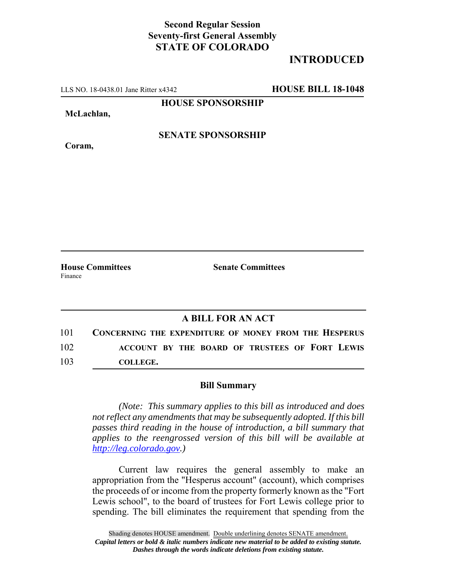## **Second Regular Session Seventy-first General Assembly STATE OF COLORADO**

## **INTRODUCED**

LLS NO. 18-0438.01 Jane Ritter x4342 **HOUSE BILL 18-1048**

**HOUSE SPONSORSHIP**

**McLachlan,**

**Coram,**

**SENATE SPONSORSHIP**

**House Committees Senate Committees** Finance

## **A BILL FOR AN ACT**

101 **CONCERNING THE EXPENDITURE OF MONEY FROM THE HESPERUS** 102 **ACCOUNT BY THE BOARD OF TRUSTEES OF FORT LEWIS** 103 **COLLEGE.**

## **Bill Summary**

*(Note: This summary applies to this bill as introduced and does not reflect any amendments that may be subsequently adopted. If this bill passes third reading in the house of introduction, a bill summary that applies to the reengrossed version of this bill will be available at http://leg.colorado.gov.)*

Current law requires the general assembly to make an appropriation from the "Hesperus account" (account), which comprises the proceeds of or income from the property formerly known as the "Fort Lewis school", to the board of trustees for Fort Lewis college prior to spending. The bill eliminates the requirement that spending from the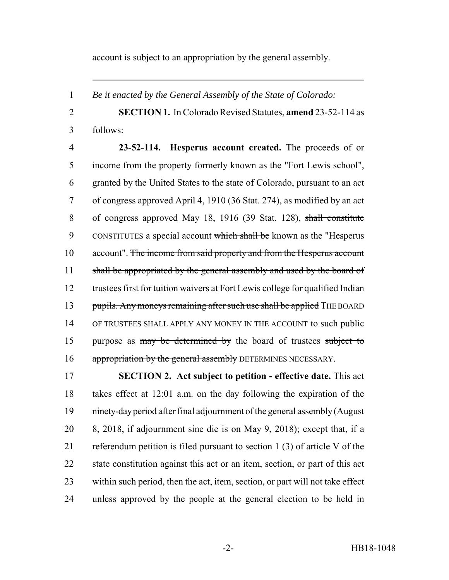account is subject to an appropriation by the general assembly.

*Be it enacted by the General Assembly of the State of Colorado:*

 **SECTION 1.** In Colorado Revised Statutes, **amend** 23-52-114 as follows:

 **23-52-114. Hesperus account created.** The proceeds of or income from the property formerly known as the "Fort Lewis school", granted by the United States to the state of Colorado, pursuant to an act of congress approved April 4, 1910 (36 Stat. 274), as modified by an act of congress approved May 18, 1916 (39 Stat. 128), shall constitute 9 CONSTITUTES a special account which shall be known as the "Hesperus" 10 account". The income from said property and from the Hesperus account 11 shall be appropriated by the general assembly and used by the board of 12 trustees first for tuition waivers at Fort Lewis college for qualified Indian 13 pupils. Any moneys remaining after such use shall be applied THE BOARD OF TRUSTEES SHALL APPLY ANY MONEY IN THE ACCOUNT to such public 15 purpose as may be determined by the board of trustees subject to 16 appropriation by the general assembly DETERMINES NECESSARY.

 **SECTION 2. Act subject to petition - effective date.** This act takes effect at 12:01 a.m. on the day following the expiration of the ninety-day period after final adjournment of the general assembly (August 8, 2018, if adjournment sine die is on May 9, 2018); except that, if a referendum petition is filed pursuant to section 1 (3) of article V of the state constitution against this act or an item, section, or part of this act within such period, then the act, item, section, or part will not take effect unless approved by the people at the general election to be held in